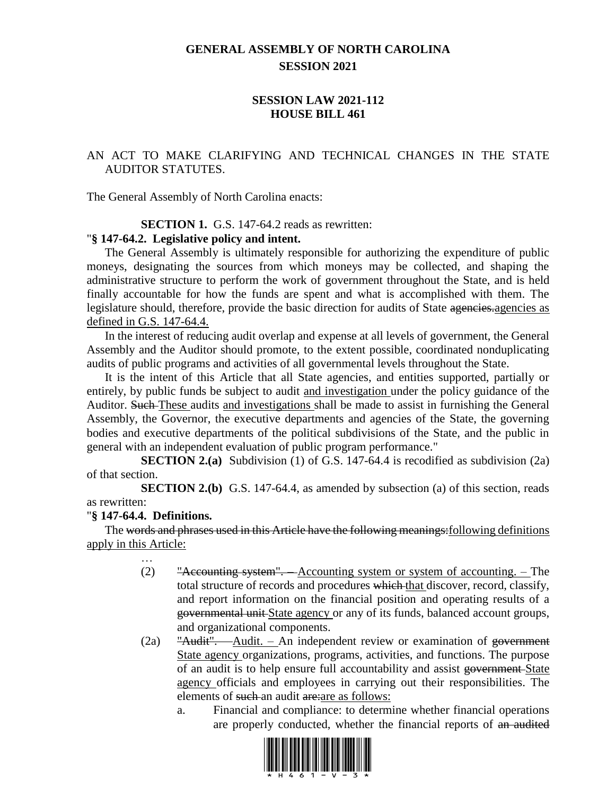## **GENERAL ASSEMBLY OF NORTH CAROLINA SESSION 2021**

## **SESSION LAW 2021-112 HOUSE BILL 461**

## AN ACT TO MAKE CLARIFYING AND TECHNICAL CHANGES IN THE STATE AUDITOR STATUTES.

The General Assembly of North Carolina enacts:

#### **SECTION 1.** G.S. 147-64.2 reads as rewritten:

#### "**§ 147-64.2. Legislative policy and intent.**

The General Assembly is ultimately responsible for authorizing the expenditure of public moneys, designating the sources from which moneys may be collected, and shaping the administrative structure to perform the work of government throughout the State, and is held finally accountable for how the funds are spent and what is accomplished with them. The legislature should, therefore, provide the basic direction for audits of State agencies.agencies as defined in G.S. 147-64.4.

In the interest of reducing audit overlap and expense at all levels of government, the General Assembly and the Auditor should promote, to the extent possible, coordinated nonduplicating audits of public programs and activities of all governmental levels throughout the State.

It is the intent of this Article that all State agencies, and entities supported, partially or entirely, by public funds be subject to audit and investigation under the policy guidance of the Auditor. Such These audits and investigations shall be made to assist in furnishing the General Assembly, the Governor, the executive departments and agencies of the State, the governing bodies and executive departments of the political subdivisions of the State, and the public in general with an independent evaluation of public program performance."

**SECTION 2.(a)** Subdivision (1) of G.S. 147-64.4 is recodified as subdivision (2a) of that section.

**SECTION 2.(b)** G.S. 147-64.4, as amended by subsection (a) of this section, reads as rewritten:

### "**§ 147-64.4. Definitions.**

The words and phrases used in this Article have the following meanings: following definitions apply in this Article:

- … (2) "Accounting system". – Accounting system or system of accounting. – The total structure of records and procedures which that discover, record, classify, and report information on the financial position and operating results of a governmental unit State agency or any of its funds, balanced account groups, and organizational components.
- (2a)  $\frac{d}{dx}$   $\frac{d}{dx}$   $\frac{d}{dx}$   $\frac{d}{dx}$   $\frac{d}{dx}$   $\frac{d}{dx}$   $\frac{d}{dx}$   $\frac{d}{dx}$   $\frac{d}{dx}$   $\frac{d}{dx}$   $\frac{d}{dx}$   $\frac{d}{dx}$   $\frac{d}{dx}$   $\frac{d}{dx}$   $\frac{d}{dx}$   $\frac{d}{dx}$   $\frac{d}{dx}$   $\frac{d}{dx}$   $\frac{d}{dx}$   $\frac{d}{dx}$   $\frac{d}{dx}$   $\frac{d}{$ State agency organizations, programs, activities, and functions. The purpose of an audit is to help ensure full accountability and assist government State agency officials and employees in carrying out their responsibilities. The elements of such an audit are: are as follows:
	- a. Financial and compliance: to determine whether financial operations are properly conducted, whether the financial reports of an audited

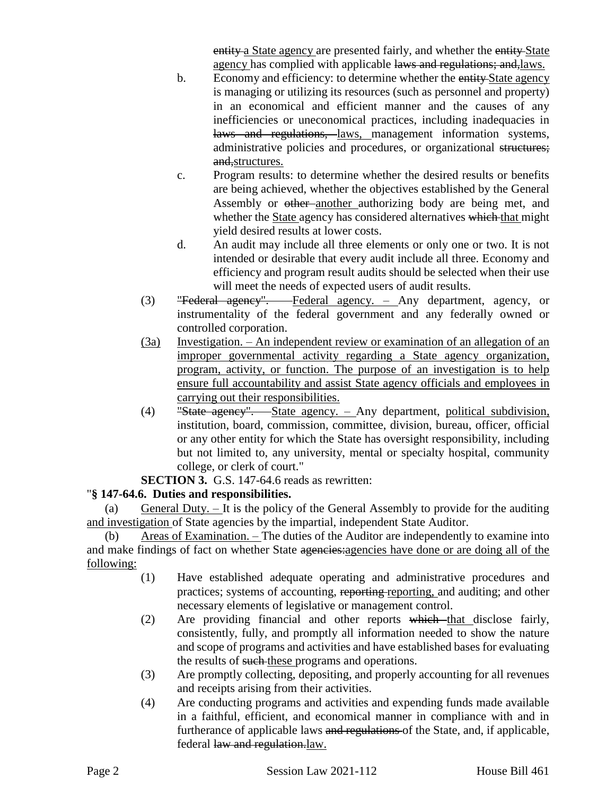entity a State agency are presented fairly, and whether the entity-State agency has complied with applicable laws and regulations; and, laws.

- b. Economy and efficiency: to determine whether the entity State agency is managing or utilizing its resources (such as personnel and property) in an economical and efficient manner and the causes of any inefficiencies or uneconomical practices, including inadequacies in laws and regulations, laws, management information systems, administrative policies and procedures, or organizational structures; and, structures.
- c. Program results: to determine whether the desired results or benefits are being achieved, whether the objectives established by the General Assembly or <del>other another</del> authorizing body are being met, and whether the State agency has considered alternatives which that might yield desired results at lower costs.
- d. An audit may include all three elements or only one or two. It is not intended or desirable that every audit include all three. Economy and efficiency and program result audits should be selected when their use will meet the needs of expected users of audit results.
- (3) "Federal agency". Federal agency. Any department, agency, or instrumentality of the federal government and any federally owned or controlled corporation.
- (3a) Investigation. An independent review or examination of an allegation of an improper governmental activity regarding a State agency organization, program, activity, or function. The purpose of an investigation is to help ensure full accountability and assist State agency officials and employees in carrying out their responsibilities.
- (4) "State agency". State agency. Any department, political subdivision, institution, board, commission, committee, division, bureau, officer, official or any other entity for which the State has oversight responsibility, including but not limited to, any university, mental or specialty hospital, community college, or clerk of court."
- **SECTION 3.** G.S. 147-64.6 reads as rewritten:

# "**§ 147-64.6. Duties and responsibilities.**

(a) General Duty. – It is the policy of the General Assembly to provide for the auditing and investigation of State agencies by the impartial, independent State Auditor.

(b) Areas of Examination. – The duties of the Auditor are independently to examine into and make findings of fact on whether State agencies: agencies have done or are doing all of the following:

- (1) Have established adequate operating and administrative procedures and practices; systems of accounting, reporting reporting, and auditing; and other necessary elements of legislative or management control.
- (2) Are providing financial and other reports which that disclose fairly, consistently, fully, and promptly all information needed to show the nature and scope of programs and activities and have established bases for evaluating the results of such these programs and operations.
- (3) Are promptly collecting, depositing, and properly accounting for all revenues and receipts arising from their activities.
- (4) Are conducting programs and activities and expending funds made available in a faithful, efficient, and economical manner in compliance with and in furtherance of applicable laws and regulations of the State, and, if applicable, federal law and regulation.law.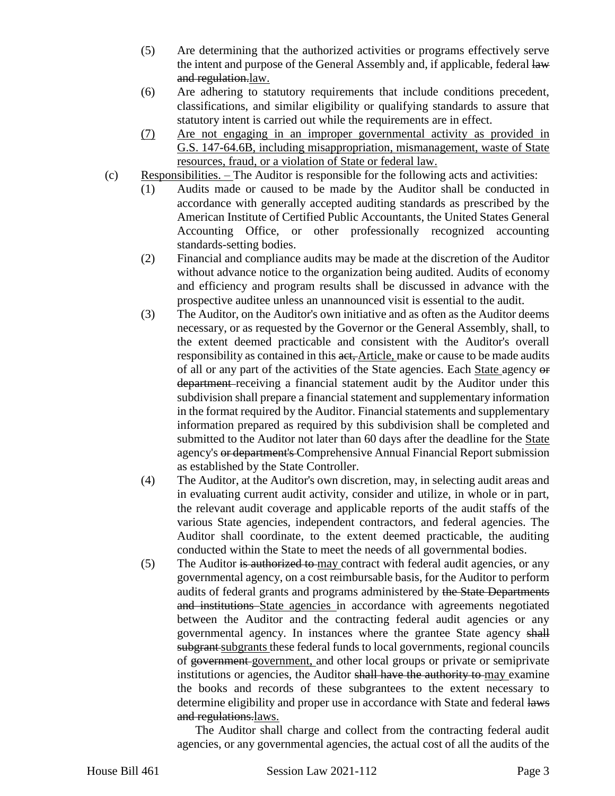- (5) Are determining that the authorized activities or programs effectively serve the intent and purpose of the General Assembly and, if applicable, federal law and regulation.law.
- (6) Are adhering to statutory requirements that include conditions precedent, classifications, and similar eligibility or qualifying standards to assure that statutory intent is carried out while the requirements are in effect.
- (7) Are not engaging in an improper governmental activity as provided in G.S. 147-64.6B, including misappropriation, mismanagement, waste of State resources, fraud, or a violation of State or federal law.
- $(c)$  Responsibilities. The Auditor is responsible for the following acts and activities:
	- (1) Audits made or caused to be made by the Auditor shall be conducted in accordance with generally accepted auditing standards as prescribed by the American Institute of Certified Public Accountants, the United States General Accounting Office, or other professionally recognized accounting standards-setting bodies.
	- (2) Financial and compliance audits may be made at the discretion of the Auditor without advance notice to the organization being audited. Audits of economy and efficiency and program results shall be discussed in advance with the prospective auditee unless an unannounced visit is essential to the audit.
	- (3) The Auditor, on the Auditor's own initiative and as often as the Auditor deems necessary, or as requested by the Governor or the General Assembly, shall, to the extent deemed practicable and consistent with the Auditor's overall responsibility as contained in this act, Article, make or cause to be made audits of all or any part of the activities of the State agencies. Each State agency or department receiving a financial statement audit by the Auditor under this subdivision shall prepare a financial statement and supplementary information in the format required by the Auditor. Financial statements and supplementary information prepared as required by this subdivision shall be completed and submitted to the Auditor not later than 60 days after the deadline for the State agency's or department's Comprehensive Annual Financial Report submission as established by the State Controller.
	- (4) The Auditor, at the Auditor's own discretion, may, in selecting audit areas and in evaluating current audit activity, consider and utilize, in whole or in part, the relevant audit coverage and applicable reports of the audit staffs of the various State agencies, independent contractors, and federal agencies. The Auditor shall coordinate, to the extent deemed practicable, the auditing conducted within the State to meet the needs of all governmental bodies.
	- (5) The Auditor is authorized to may contract with federal audit agencies, or any governmental agency, on a cost reimbursable basis, for the Auditor to perform audits of federal grants and programs administered by the State Departments and institutions State agencies in accordance with agreements negotiated between the Auditor and the contracting federal audit agencies or any governmental agency. In instances where the grantee State agency shall subgrant subgrants these federal funds to local governments, regional councils of government government, and other local groups or private or semiprivate institutions or agencies, the Auditor shall have the authority to may examine the books and records of these subgrantees to the extent necessary to determine eligibility and proper use in accordance with State and federal laws and regulations.laws.

The Auditor shall charge and collect from the contracting federal audit agencies, or any governmental agencies, the actual cost of all the audits of the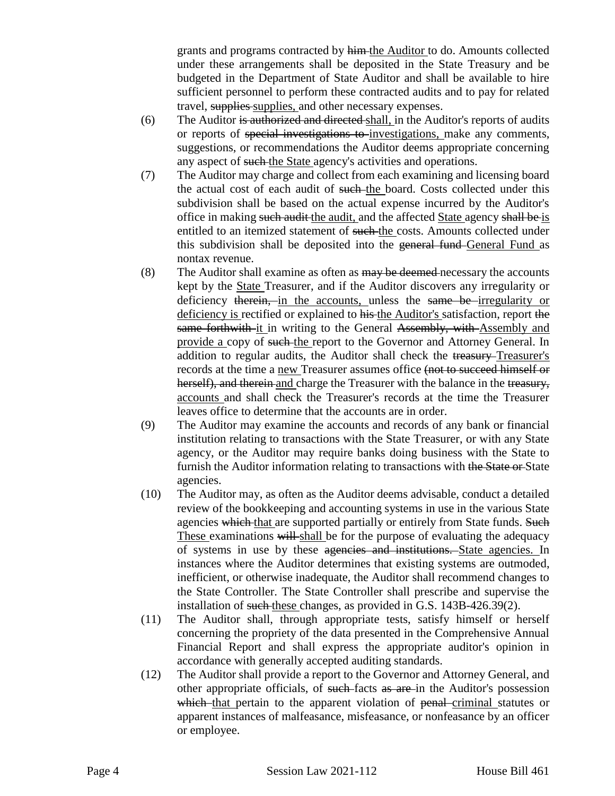grants and programs contracted by him the Auditor to do. Amounts collected under these arrangements shall be deposited in the State Treasury and be budgeted in the Department of State Auditor and shall be available to hire sufficient personnel to perform these contracted audits and to pay for related travel, supplies supplies, and other necessary expenses.

- (6) The Auditor is authorized and directed shall, in the Auditor's reports of audits or reports of special investigations to investigations, make any comments, suggestions, or recommendations the Auditor deems appropriate concerning any aspect of such the State agency's activities and operations.
- (7) The Auditor may charge and collect from each examining and licensing board the actual cost of each audit of such the board. Costs collected under this subdivision shall be based on the actual expense incurred by the Auditor's office in making such audit the audit, and the affected State agency shall be is entitled to an itemized statement of such the costs. Amounts collected under this subdivision shall be deposited into the general fund General Fund as nontax revenue.
- (8) The Auditor shall examine as often as  $\frac{1}{2}$  be deemed-necessary the accounts kept by the State Treasurer, and if the Auditor discovers any irregularity or deficiency therein, in the accounts, unless the same be irregularity or deficiency is rectified or explained to his the Auditor's satisfaction, report the same forthwith it in writing to the General Assembly, with Assembly and provide a copy of such the report to the Governor and Attorney General. In addition to regular audits, the Auditor shall check the treasury Treasurer's records at the time a new Treasurer assumes office (not to succeed himself or herself), and therein and charge the Treasurer with the balance in the treasury, accounts and shall check the Treasurer's records at the time the Treasurer leaves office to determine that the accounts are in order.
- (9) The Auditor may examine the accounts and records of any bank or financial institution relating to transactions with the State Treasurer, or with any State agency, or the Auditor may require banks doing business with the State to furnish the Auditor information relating to transactions with the State or State agencies.
- (10) The Auditor may, as often as the Auditor deems advisable, conduct a detailed review of the bookkeeping and accounting systems in use in the various State agencies which that are supported partially or entirely from State funds. Such These examinations will shall be for the purpose of evaluating the adequacy of systems in use by these agencies and institutions. State agencies. In instances where the Auditor determines that existing systems are outmoded, inefficient, or otherwise inadequate, the Auditor shall recommend changes to the State Controller. The State Controller shall prescribe and supervise the installation of such these changes, as provided in G.S. 143B-426.39(2).
- (11) The Auditor shall, through appropriate tests, satisfy himself or herself concerning the propriety of the data presented in the Comprehensive Annual Financial Report and shall express the appropriate auditor's opinion in accordance with generally accepted auditing standards.
- (12) The Auditor shall provide a report to the Governor and Attorney General, and other appropriate officials, of such facts as are in the Auditor's possession which that pertain to the apparent violation of penal criminal statutes or apparent instances of malfeasance, misfeasance, or nonfeasance by an officer or employee.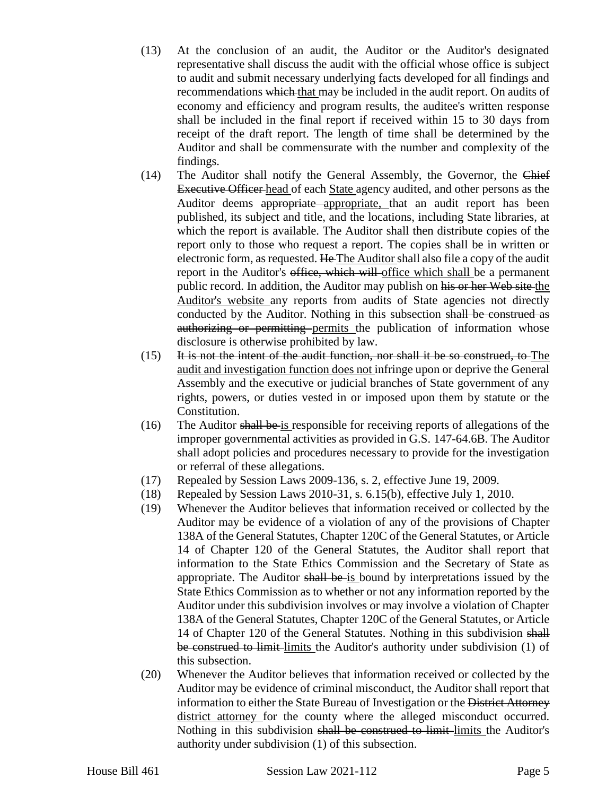- (13) At the conclusion of an audit, the Auditor or the Auditor's designated representative shall discuss the audit with the official whose office is subject to audit and submit necessary underlying facts developed for all findings and recommendations which that may be included in the audit report. On audits of economy and efficiency and program results, the auditee's written response shall be included in the final report if received within 15 to 30 days from receipt of the draft report. The length of time shall be determined by the Auditor and shall be commensurate with the number and complexity of the findings.
- (14) The Auditor shall notify the General Assembly, the Governor, the Chief Executive Officer head of each State agency audited, and other persons as the Auditor deems appropriate appropriate, that an audit report has been published, its subject and title, and the locations, including State libraries, at which the report is available. The Auditor shall then distribute copies of the report only to those who request a report. The copies shall be in written or electronic form, as requested. He The Auditor shall also file a copy of the audit report in the Auditor's office, which will office which shall be a permanent public record. In addition, the Auditor may publish on his or her Web site the Auditor's website any reports from audits of State agencies not directly conducted by the Auditor. Nothing in this subsection shall be construed as authorizing or permitting permits the publication of information whose disclosure is otherwise prohibited by law.
- $(15)$  It is not the intent of the audit function, nor shall it be so construed, to The audit and investigation function does not infringe upon or deprive the General Assembly and the executive or judicial branches of State government of any rights, powers, or duties vested in or imposed upon them by statute or the Constitution.
- (16) The Auditor shall be is responsible for receiving reports of allegations of the improper governmental activities as provided in G.S. 147-64.6B. The Auditor shall adopt policies and procedures necessary to provide for the investigation or referral of these allegations.
- (17) Repealed by Session Laws 2009-136, s. 2, effective June 19, 2009.
- (18) Repealed by Session Laws 2010-31, s. 6.15(b), effective July 1, 2010.
- (19) Whenever the Auditor believes that information received or collected by the Auditor may be evidence of a violation of any of the provisions of Chapter 138A of the General Statutes, Chapter 120C of the General Statutes, or Article 14 of Chapter 120 of the General Statutes, the Auditor shall report that information to the State Ethics Commission and the Secretary of State as appropriate. The Auditor shall be is bound by interpretations issued by the State Ethics Commission as to whether or not any information reported by the Auditor under this subdivision involves or may involve a violation of Chapter 138A of the General Statutes, Chapter 120C of the General Statutes, or Article 14 of Chapter 120 of the General Statutes. Nothing in this subdivision shall be construed to limit-limits the Auditor's authority under subdivision (1) of this subsection.
- (20) Whenever the Auditor believes that information received or collected by the Auditor may be evidence of criminal misconduct, the Auditor shall report that information to either the State Bureau of Investigation or the District Attorney district attorney for the county where the alleged misconduct occurred. Nothing in this subdivision shall be construed to limit limits the Auditor's authority under subdivision (1) of this subsection.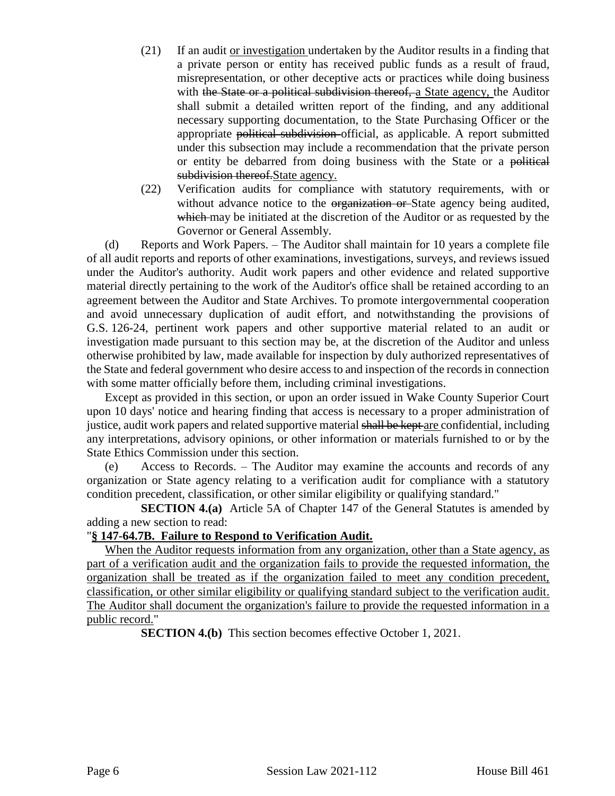- (21) If an audit or investigation undertaken by the Auditor results in a finding that a private person or entity has received public funds as a result of fraud, misrepresentation, or other deceptive acts or practices while doing business with the State or a political subdivision thereof, a State agency, the Auditor shall submit a detailed written report of the finding, and any additional necessary supporting documentation, to the State Purchasing Officer or the appropriate political subdivision official, as applicable. A report submitted under this subsection may include a recommendation that the private person or entity be debarred from doing business with the State or a political subdivision thereof. State agency.
- (22) Verification audits for compliance with statutory requirements, with or without advance notice to the organization or State agency being audited, which may be initiated at the discretion of the Auditor or as requested by the Governor or General Assembly.

(d) Reports and Work Papers. – The Auditor shall maintain for 10 years a complete file of all audit reports and reports of other examinations, investigations, surveys, and reviews issued under the Auditor's authority. Audit work papers and other evidence and related supportive material directly pertaining to the work of the Auditor's office shall be retained according to an agreement between the Auditor and State Archives. To promote intergovernmental cooperation and avoid unnecessary duplication of audit effort, and notwithstanding the provisions of G.S. 126-24, pertinent work papers and other supportive material related to an audit or investigation made pursuant to this section may be, at the discretion of the Auditor and unless otherwise prohibited by law, made available for inspection by duly authorized representatives of the State and federal government who desire access to and inspection of the records in connection with some matter officially before them, including criminal investigations.

Except as provided in this section, or upon an order issued in Wake County Superior Court upon 10 days' notice and hearing finding that access is necessary to a proper administration of justice, audit work papers and related supportive material shall be kept are confidential, including any interpretations, advisory opinions, or other information or materials furnished to or by the State Ethics Commission under this section.

(e) Access to Records. – The Auditor may examine the accounts and records of any organization or State agency relating to a verification audit for compliance with a statutory condition precedent, classification, or other similar eligibility or qualifying standard."

**SECTION 4.(a)** Article 5A of Chapter 147 of the General Statutes is amended by adding a new section to read:

## "**§ 147-64.7B. Failure to Respond to Verification Audit.**

When the Auditor requests information from any organization, other than a State agency, as part of a verification audit and the organization fails to provide the requested information, the organization shall be treated as if the organization failed to meet any condition precedent, classification, or other similar eligibility or qualifying standard subject to the verification audit. The Auditor shall document the organization's failure to provide the requested information in a public record."

**SECTION 4.(b)** This section becomes effective October 1, 2021.